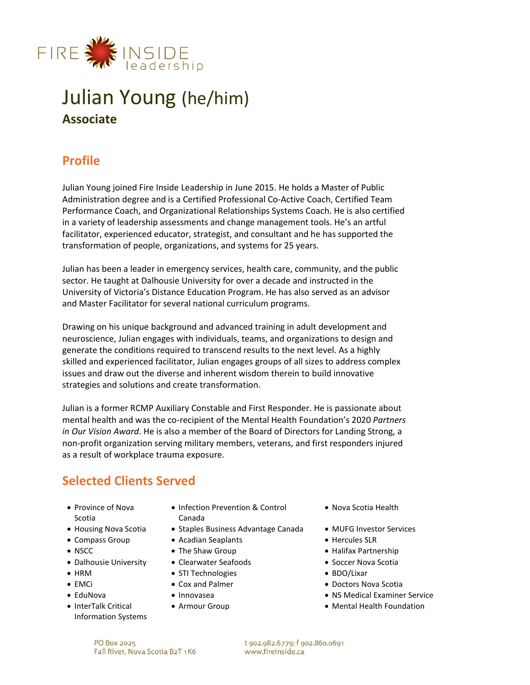

# Julian Young (he/him) **Associate**

# **Profile**

Julian Young joined Fire Inside Leadership in June 2015. He holds a Master of Public Administration degree and is a Certified Professional Co-Active Coach, Certified Team Performance Coach, and Organizational Relationships Systems Coach. He is also certified in a variety of leadership assessments and change management tools. He's an artful facilitator, experienced educator, strategist, and consultant and he has supported the transformation of people, organizations, and systems for 25 years.

Julian has been a leader in emergency services, health care, community, and the public sector. He taught at Dalhousie University for over a decade and instructed in the University of Victoria's Distance Education Program. He has also served as an advisor and Master Facilitator for several national curriculum programs.

Drawing on his unique background and advanced training in adult development and neuroscience, Julian engages with individuals, teams, and organizations to design and generate the conditions required to transcend results to the next level. As a highly skilled and experienced facilitator, Julian engages groups of all sizes to address complex issues and draw out the diverse and inherent wisdom therein to build innovative strategies and solutions and create transformation.

Julian is a former RCMP Auxiliary Constable and First Responder. He is passionate about mental health and was the co-recipient of the Mental Health Foundation's 2020 *Partners in Our Vision Award*. He is also a member of the Board of Directors for Landing Strong, a non-profit organization serving military members, veterans, and first responders injured as a result of workplace trauma exposure.

# **Selected Clients Served**

- Province of Nova Scotia
- 
- 
- 
- Dalhousie University Clearwater Seafoods Soccer Nova Scotia
- 
- 
- 
- InterTalk Critical Information Systems
- Infection Prevention & Control Canada
- Housing Nova Scotia Staples Business Advantage Canada MUFG Investor Services
- Compass Group Acadian Seaplants  **Hercules SLR** 
	-
	-
- HRM STI Technologies BDO/Lixar
	-
	-
	-
- Nova Scotia Health
- 
- 
- NSCC The Shaw Group Halifax Partnership
	-
	-
- EMCi Cox and Palmer Doctors Nova Scotia
- EduNova Innovasea NS Medical Examiner Service
	- Armour Group Mental Health Foundation

t 902.982.6779; f 902.860.0691 www.fireinside.ca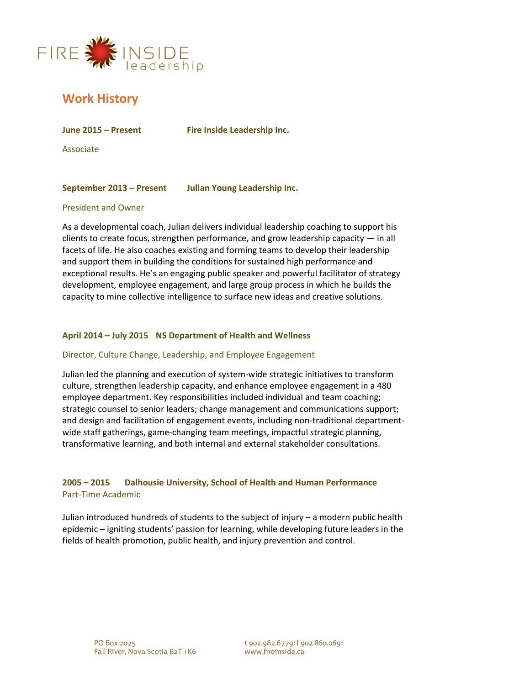

# **Work History**

**June 2015 – Present Fire Inside Leadership Inc.**

Associate

### **September 2013 – Present Julian Young Leadership Inc.**

#### President and Owner

As a developmental coach, Julian delivers individual leadership coaching to support his clients to create focus, strengthen performance, and grow leadership capacity — in all facets of life. He also coaches existing and forming teams to develop their leadership and support them in building the conditions for sustained high performance and exceptional results. He's an engaging public speaker and powerful facilitator of strategy development, employee engagement, and large group process in which he builds the capacity to mine collective intelligence to surface new ideas and creative solutions.

#### **April 2014 – July 2015 NS Department of Health and Wellness**

#### Director, Culture Change, Leadership, and Employee Engagement

Julian led the planning and execution of system-wide strategic initiatives to transform culture, strengthen leadership capacity, and enhance employee engagement in a 480 employee department. Key responsibilities included individual and team coaching; strategic counsel to senior leaders; change management and communications support; and design and facilitation of engagement events, including non-traditional departmentwide staff gatherings, game-changing team meetings, impactful strategic planning, transformative learning, and both internal and external stakeholder consultations.

### **2005 – 2015 Dalhousie University, School of Health and Human Performance** Part-Time Academic

Julian introduced hundreds of students to the subject of injury – a modern public health epidemic – igniting students' passion for learning, while developing future leaders in the fields of health promotion, public health, and injury prevention and control.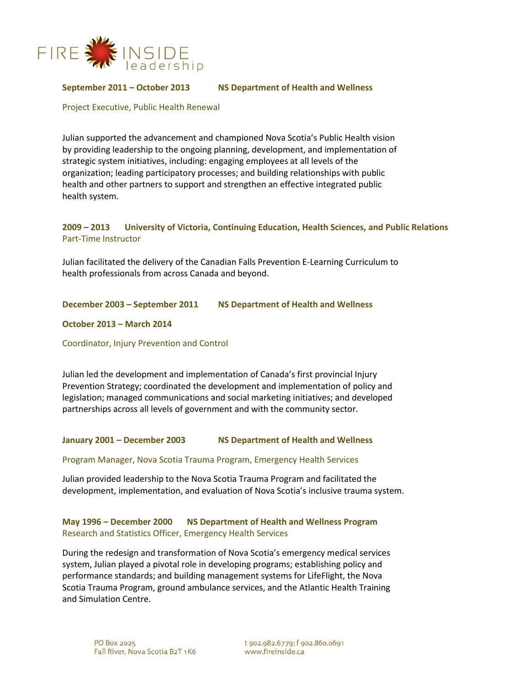

**September 2011 – October 2013 NS Department of Health and Wellness**

Project Executive, Public Health Renewal

Julian supported the advancement and championed Nova Scotia's Public Health vision by providing leadership to the ongoing planning, development, and implementation of strategic system initiatives, including: engaging employees at all levels of the organization; leading participatory processes; and building relationships with public health and other partners to support and strengthen an effective integrated public health system.

### **2009 – 2013 University of Victoria, Continuing Education, Health Sciences, and Public Relations**  Part-Time Instructor

Julian facilitated the delivery of the Canadian Falls Prevention E-Learning Curriculum to health professionals from across Canada and beyond.

#### **December 2003 – September 2011 NS Department of Health and Wellness**

#### **October 2013 – March 2014**

Coordinator, Injury Prevention and Control

Julian led the development and implementation of Canada's first provincial Injury Prevention Strategy; coordinated the development and implementation of policy and legislation; managed communications and social marketing initiatives; and developed partnerships across all levels of government and with the community sector.

#### **January 2001 – December 2003 NS Department of Health and Wellness**

#### Program Manager, Nova Scotia Trauma Program, Emergency Health Services

Julian provided leadership to the Nova Scotia Trauma Program and facilitated the development, implementation, and evaluation of Nova Scotia's inclusive trauma system.

### **May 1996 – December 2000 NS Department of Health and Wellness Program**  Research and Statistics Officer, Emergency Health Services

During the redesign and transformation of Nova Scotia's emergency medical services system, Julian played a pivotal role in developing programs; establishing policy and performance standards; and building management systems for LifeFlight, the Nova Scotia Trauma Program, ground ambulance services, and the Atlantic Health Training and Simulation Centre.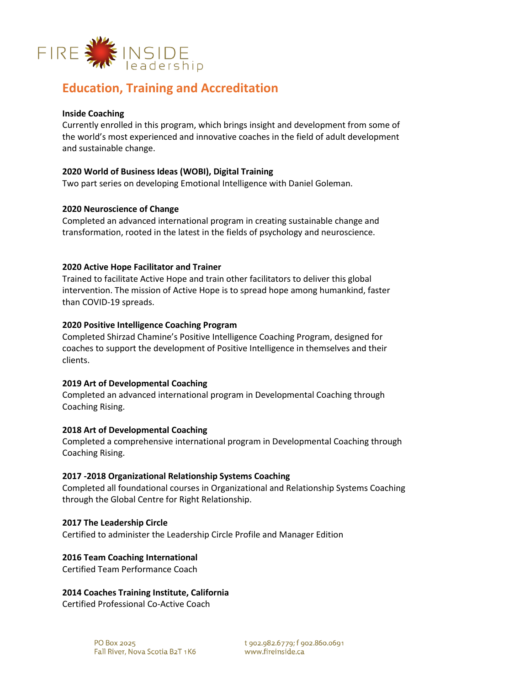

## **Education, Training and Accreditation**

### **Inside Coaching**

Currently enrolled in this program, which brings insight and development from some of the world's most experienced and innovative coaches in the field of adult development and sustainable change.

#### **2020 World of Business Ideas (WOBI), Digital Training**

Two part series on developing Emotional Intelligence with Daniel Goleman.

#### **2020 Neuroscience of Change**

Completed an advanced international program in creating sustainable change and transformation, rooted in the latest in the fields of psychology and neuroscience.

#### **2020 Active Hope Facilitator and Trainer**

Trained to facilitate Active Hope and train other facilitators to deliver this global intervention. The mission of Active Hope is to spread hope among humankind, faster than COVID-19 spreads.

#### **2020 Positive Intelligence Coaching Program**

Completed Shirzad Chamine's Positive Intelligence Coaching Program, designed for coaches to support the development of Positive Intelligence in themselves and their clients.

#### **2019 Art of Developmental Coaching**

Completed an advanced international program in Developmental Coaching through Coaching Rising.

#### **2018 Art of Developmental Coaching**

Completed a comprehensive international program in Developmental Coaching through Coaching Rising.

#### **2017 -2018 Organizational Relationship Systems Coaching**

Completed all foundational courses in Organizational and Relationship Systems Coaching through the Global Centre for Right Relationship.

#### **2017 The Leadership Circle**

Certified to administer the Leadership Circle Profile and Manager Edition

#### **2016 Team Coaching International**

Certified Team Performance Coach

**2014 Coaches Training Institute, California**

Certified Professional Co-Active Coach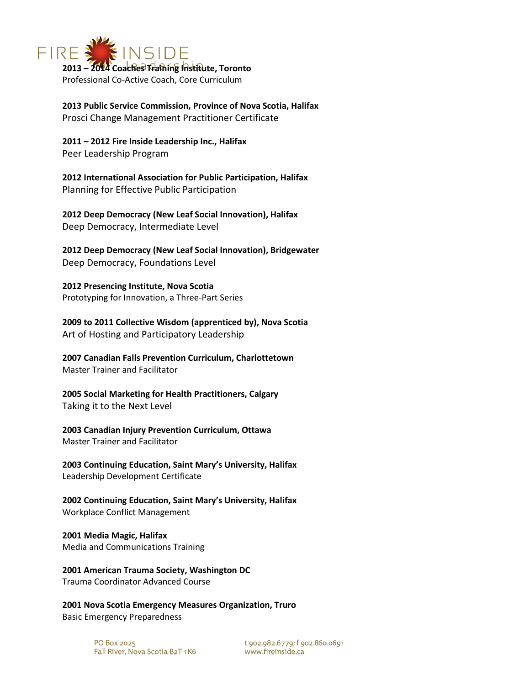

**2013 Public Service Commission, Province of Nova Scotia, Halifax** Prosci Change Management Practitioner Certificate

**2011 – 2012 Fire Inside Leadership Inc., Halifax** Peer Leadership Program

**2012 International Association for Public Participation, Halifax** Planning for Effective Public Participation

**2012 Deep Democracy (New Leaf Social Innovation), Halifax** Deep Democracy, Intermediate Level

**2012 Deep Democracy (New Leaf Social Innovation), Bridgewater** Deep Democracy, Foundations Level

**2012 Presencing Institute, Nova Scotia** Prototyping for Innovation, a Three-Part Series

**2009 to 2011 Collective Wisdom (apprenticed by), Nova Scotia** Art of Hosting and Participatory Leadership

**2007 Canadian Falls Prevention Curriculum, Charlottetown** Master Trainer and Facilitator

**2005 Social Marketing for Health Practitioners, Calgary** Taking it to the Next Level

**2003 Canadian Injury Prevention Curriculum, Ottawa** Master Trainer and Facilitator

**2003 Continuing Education, Saint Mary's University, Halifax** Leadership Development Certificate

**2002 Continuing Education, Saint Mary's University, Halifax** Workplace Conflict Management

**2001 Media Magic, Halifax** Media and Communications Training

**2001 American Trauma Society, Washington DC** Trauma Coordinator Advanced Course

**2001 Nova Scotia Emergency Measures Organization, Truro** Basic Emergency Preparedness